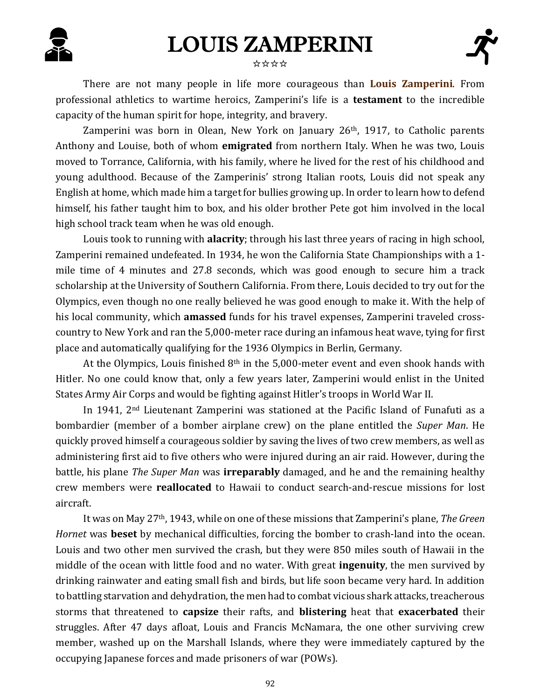## LOUIS ZAMPERINI



### ☆☆☆☆

There are not many people in life more courageous than **Louis Zamperini**. From professional athletics to wartime heroics, Zamperini's life is a **testament** to the incredible capacity of the human spirit for hope, integrity, and bravery.

Zamperini was born in Olean, New York on January 26<sup>th</sup>, 1917, to Catholic parents Anthony and Louise, both of whom **emigrated** from northern Italy. When he was two, Louis moved to Torrance, California, with his family, where he lived for the rest of his childhood and young adulthood. Because of the Zamperinis' strong Italian roots, Louis did not speak any English at home, which made him a target for bullies growing up. In order to learn how to defend himself, his father taught him to box, and his older brother Pete got him involved in the local high school track team when he was old enough.

Louis took to running with **alacrity**; through his last three years of racing in high school, Zamperini remained undefeated. In 1934, he won the California State Championships with a 1 mile time of 4 minutes and 27.8 seconds, which was good enough to secure him a track scholarship at the University of Southern California. From there, Louis decided to try out for the Olympics, even though no one really believed he was good enough to make it. With the help of his local community, which **amassed** funds for his travel expenses, Zamperini traveled crosscountry to New York and ran the 5,000-meter race during an infamous heat wave, tying for first place and automatically qualifying for the 1936 Olympics in Berlin, Germany.

At the Olympics, Louis finished 8th in the 5,000-meter event and even shook hands with Hitler. No one could know that, only a few years later, Zamperini would enlist in the United States Army Air Corps and would be fighting against Hitler's troops in World War II.

In 1941, 2nd Lieutenant Zamperini was stationed at the Pacific Island of Funafuti as a bombardier (member of a bomber airplane crew) on the plane entitled the *Super Man*. He quickly proved himself a courageous soldier by saving the lives of two crew members, as well as administering first aid to five others who were injured during an air raid. However, during the battle, his plane *The Super Man* was **irreparably** damaged, and he and the remaining healthy crew members were **reallocated** to Hawaii to conduct search-and-rescue missions for lost aircraft.

It was on May 27th, 1943, while on one of these missions that Zamperini's plane, *The Green Hornet* was **beset** by mechanical difficulties, forcing the bomber to crash-land into the ocean. Louis and two other men survived the crash, but they were 850 miles south of Hawaii in the middle of the ocean with little food and no water. With great **ingenuity**, the men survived by drinking rainwater and eating small fish and birds, but life soon became very hard. In addition to battling starvation and dehydration, the men had to combat vicious shark attacks, treacherous storms that threatened to **capsize** their rafts, and **blistering** heat that **exacerbated** their struggles. After 47 days afloat, Louis and Francis McNamara, the one other surviving crew member, washed up on the Marshall Islands, where they were immediately captured by the occupying Japanese forces and made prisoners of war (POWs).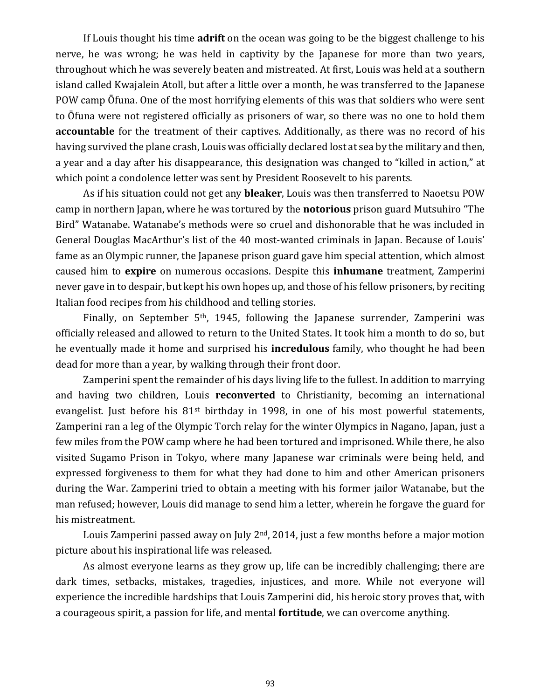If Louis thought his time **adrift** on the ocean was going to be the biggest challenge to his nerve, he was wrong; he was held in captivity by the Japanese for more than two years, throughout which he was severely beaten and mistreated. At first, Louis was held at a southern island called Kwajalein Atoll, but after a little over a month, he was transferred to the Japanese POW camp Ōfuna. One of the most horrifying elements of this was that soldiers who were sent to Ōfuna were not registered officially as prisoners of war, so there was no one to hold them **accountable** for the treatment of their captives. Additionally, as there was no record of his having survived the plane crash, Louis was officially declared lost at sea by the military and then, a year and a day after his disappearance, this designation was changed to "killed in action," at which point a condolence letter was sent by President Roosevelt to his parents.

As if his situation could not get any **bleaker**, Louis was then transferred to Naoetsu POW camp in northern Japan, where he was tortured by the **notorious** prison guard Mutsuhiro "The Bird" Watanabe. Watanabe's methods were so cruel and dishonorable that he was included in General Douglas MacArthur's list of the 40 most-wanted criminals in Japan. Because of Louis' fame as an Olympic runner, the Japanese prison guard gave him special attention, which almost caused him to **expire** on numerous occasions. Despite this **inhumane** treatment, Zamperini never gave in to despair, but kept his own hopes up, and those of his fellow prisoners, by reciting Italian food recipes from his childhood and telling stories.

Finally, on September 5<sup>th</sup>, 1945, following the Japanese surrender, Zamperini was officially released and allowed to return to the United States. It took him a month to do so, but he eventually made it home and surprised his **incredulous** family, who thought he had been dead for more than a year, by walking through their front door.

Zamperini spent the remainder of his days living life to the fullest. In addition to marrying and having two children, Louis **reconverted** to Christianity, becoming an international evangelist. Just before his  $81<sup>st</sup>$  birthday in 1998, in one of his most powerful statements, Zamperini ran a leg of the Olympic Torch relay for the winter Olympics in Nagano, Japan, just a few miles from the POW camp where he had been tortured and imprisoned. While there, he also visited Sugamo Prison in Tokyo, where many Japanese war criminals were being held, and expressed forgiveness to them for what they had done to him and other American prisoners during the War. Zamperini tried to obtain a meeting with his former jailor Watanabe, but the man refused; however, Louis did manage to send him a letter, wherein he forgave the guard for his mistreatment.

Louis Zamperini passed away on July  $2<sup>nd</sup>$ , 2014, just a few months before a major motion picture about his inspirational life was released.

As almost everyone learns as they grow up, life can be incredibly challenging; there are dark times, setbacks, mistakes, tragedies, injustices, and more. While not everyone will experience the incredible hardships that Louis Zamperini did, his heroic story proves that, with a courageous spirit, a passion for life, and mental **fortitude**, we can overcome anything.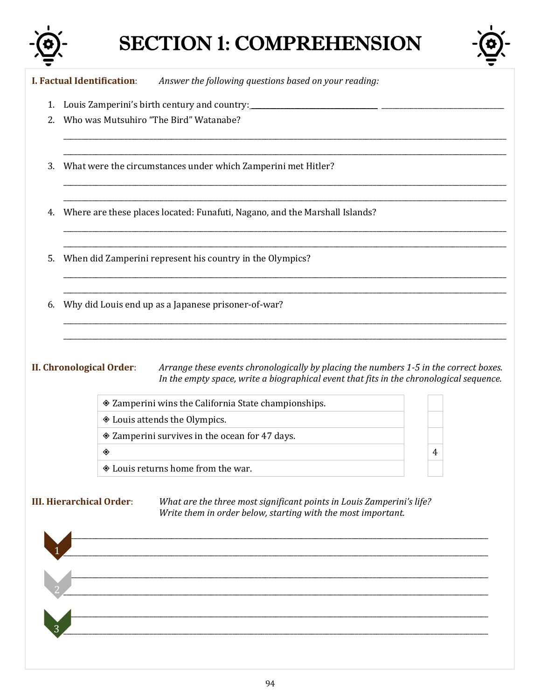

# **SECTION 1: COMPREHENSION**



**I. Factual Identification:** Answer the following questions based on your reading:

- 
- 2. Who was Mutsuhiro "The Bird" Watanabe?
- 3. What were the circumstances under which Zamperini met Hitler?

4. Where are these places located: Funafuti, Nagano, and the Marshall Islands?

- 5. When did Zamperini represent his country in the Olympics?
- 6. Why did Louis end up as a Japanese prisoner-of-war?

## **II. Chronological Order:**

Arrange these events chronologically by placing the numbers 1-5 in the correct boxes. In the empty space, write a biographical event that fits in the chronological sequence.

 $\overline{4}$ 

| ♦ Zamperini wins the California State championships. |  |  |
|------------------------------------------------------|--|--|
| ♦ Louis attends the Olympics.                        |  |  |
| ♦ Zamperini survives in the ocean for 47 days.       |  |  |
|                                                      |  |  |
| ♦ Louis returns home from the war.                   |  |  |

**III. Hierarchical Order:** 

What are the three most significant points in Louis Zamperini's life? Write them in order below, starting with the most important.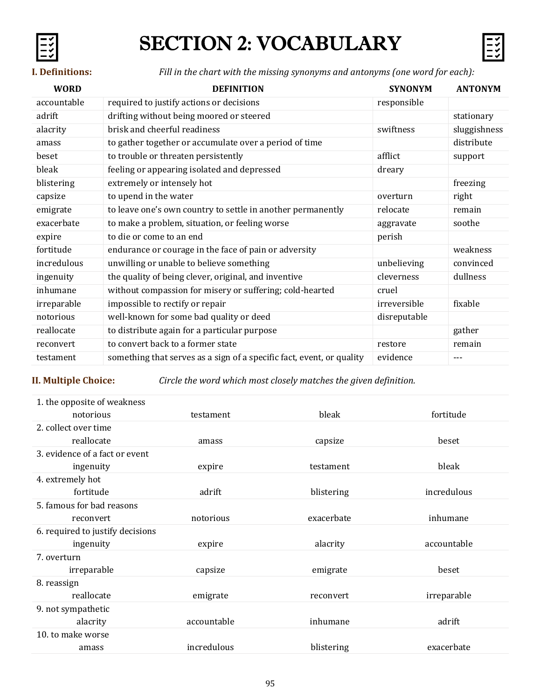# SECTION 2: VOCABULARY



**I. Definitions:** *Fill in the chart with the missing synonyms and antonyms (one word for each):*

| <b>WORD</b> | <b>DEFINITION</b>                                                     | <b>SYNONYM</b> | <b>ANTONYM</b> |
|-------------|-----------------------------------------------------------------------|----------------|----------------|
| accountable | required to justify actions or decisions                              | responsible    |                |
| adrift      | drifting without being moored or steered                              |                | stationary     |
| alacrity    | brisk and cheerful readiness                                          | swiftness      | sluggishness   |
| amass       | to gather together or accumulate over a period of time                |                | distribute     |
| beset       | to trouble or threaten persistently                                   | afflict        | support        |
| bleak       | feeling or appearing isolated and depressed                           | dreary         |                |
| blistering  | extremely or intensely hot                                            |                | freezing       |
| capsize     | to upend in the water                                                 | overturn       | right          |
| emigrate    | to leave one's own country to settle in another permanently           | relocate       | remain         |
| exacerbate  | to make a problem, situation, or feeling worse                        | aggravate      | soothe         |
| expire      | to die or come to an end                                              | perish         |                |
| fortitude   | endurance or courage in the face of pain or adversity                 |                | weakness       |
| incredulous | unwilling or unable to believe something                              | unbelieving    | convinced      |
| ingenuity   | the quality of being clever, original, and inventive                  | cleverness     | dullness       |
| inhumane    | without compassion for misery or suffering; cold-hearted              | cruel          |                |
| irreparable | impossible to rectify or repair                                       | irreversible   | fixable        |
| notorious   | well-known for some bad quality or deed                               | disreputable   |                |
| reallocate  | to distribute again for a particular purpose                          |                | gather         |
| reconvert   | to convert back to a former state                                     | restore        | remain         |
| testament   | something that serves as a sign of a specific fact, event, or quality | evidence       | $---$          |

**II. Multiple Choice:** *Circle the word which most closely matches the given definition.*

| 1. the opposite of weakness      |             |            |             |
|----------------------------------|-------------|------------|-------------|
| notorious                        | testament   | bleak      | fortitude   |
| 2. collect over time             |             |            |             |
| reallocate                       | amass       | capsize    | beset       |
| 3. evidence of a fact or event   |             |            |             |
| ingenuity                        | expire      | testament  | bleak       |
| 4. extremely hot                 |             |            |             |
| fortitude                        | adrift      | blistering | incredulous |
| 5. famous for bad reasons        |             |            |             |
| reconvert                        | notorious   | exacerbate | inhumane    |
| 6. required to justify decisions |             |            |             |
| ingenuity                        | expire      | alacrity   | accountable |
| 7. overturn                      |             |            |             |
| irreparable                      | capsize     | emigrate   | beset       |
| 8. reassign                      |             |            |             |
| reallocate                       | emigrate    | reconvert  | irreparable |
| 9. not sympathetic               |             |            |             |
| alacrity                         | accountable | inhumane   | adrift      |
| 10. to make worse                |             |            |             |
| amass                            | incredulous | blistering | exacerbate  |
|                                  |             |            |             |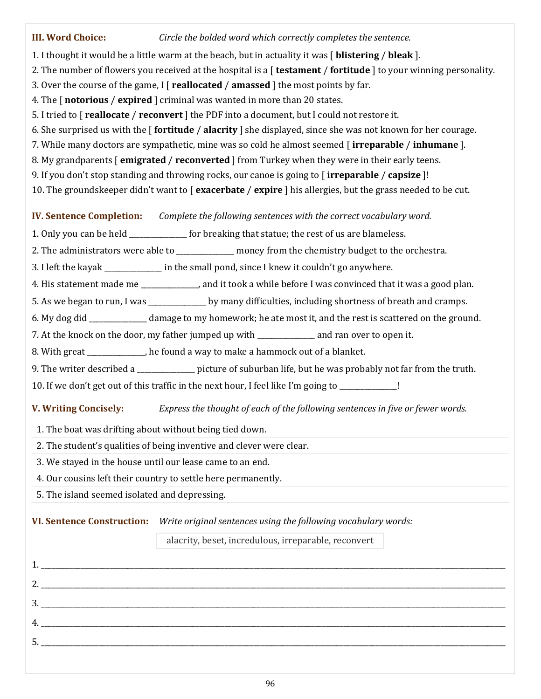## **III. Word Choice:** *Circle the bolded word which correctly completes the sentence.* 1. I thought it would be a little warm at the beach, but in actuality it was [ **blistering** / **bleak** ]. 2. The number of flowers you received at the hospital is a [ **testament** / **fortitude** ] to your winning personality. 3. Over the course of the game, I [ **reallocated** / **amassed** ] the most points by far. 4. The [ **notorious** / **expired** ] criminal was wanted in more than 20 states. 5. I tried to [ **reallocate** / **reconvert** ] the PDF into a document, but I could not restore it. 6. She surprised us with the [ **fortitude** / **alacrity** ] she displayed, since she was not known for her courage. 7. While many doctors are sympathetic, mine was so cold he almost seemed [ **irreparable** / **inhumane** ]. 8. My grandparents [ **emigrated** / **reconverted** ] from Turkey when they were in their early teens. 9. If you don't stop standing and throwing rocks, our canoe is going to [ **irreparable** / **capsize** ]! 10. The groundskeeper didn't want to [ **exacerbate** / **expire** ] his allergies, but the grass needed to be cut. **IV. Sentence Completion:** *Complete the following sentences with the correct vocabulary word.* 1. Only you can be held **the statu** for breaking that statue; the rest of us are blameless. 2. The administrators were able to \_\_\_\_\_\_\_\_\_\_\_\_\_ money from the chemistry budget to the orchestra. 3. I left the kayak \_\_\_\_\_\_\_\_\_\_\_\_\_ in the small pond, since I knew it couldn't go anywhere. 4. His statement made me \_\_\_\_\_\_\_\_\_\_\_\_\_\_\_\_, and it took a while before I was convinced that it was a good plan. 5. As we began to run, I was \_\_\_\_\_\_\_\_\_\_\_\_\_\_\_\_ by many difficulties, including shortness of breath and cramps. 6. My dog did \_\_\_\_\_\_\_\_\_\_\_\_\_\_\_\_ damage to my homework; he ate most it, and the rest is scattered on the ground. 7. At the knock on the door, my father jumped up with \_\_\_\_\_\_\_\_\_\_\_\_\_\_\_\_ and ran over to open it. 8. With great The found a way to make a hammock out of a blanket. 9. The writer described a \_\_\_\_\_\_\_\_\_\_\_\_\_\_ picture of suburban life, but he was probably not far from the truth. 10. If we don't get out of this traffic in the next hour, I feel like I'm going to \_\_\_\_\_\_\_\_\_\_\_\_\_\_\_\_! **V. Writing Concisely:** *Express the thought of each of the following sentences in five or fewer words.* 1. The boat was drifting about without being tied down. 2. The student's qualities of being inventive and clever were clear. 3. We stayed in the house until our lease came to an end.

- 4. Our cousins left their country to settle here permanently.
- 5. The island seemed isolated and depressing.

## **VI. Sentence Construction:** *Write original sentences using the following vocabulary words:*

alacrity, beset, incredulous, irreparable, reconvert

| $\begin{array}{c} \hline \text{3.} \end{array}$ |  |  |
|-------------------------------------------------|--|--|
|                                                 |  |  |
|                                                 |  |  |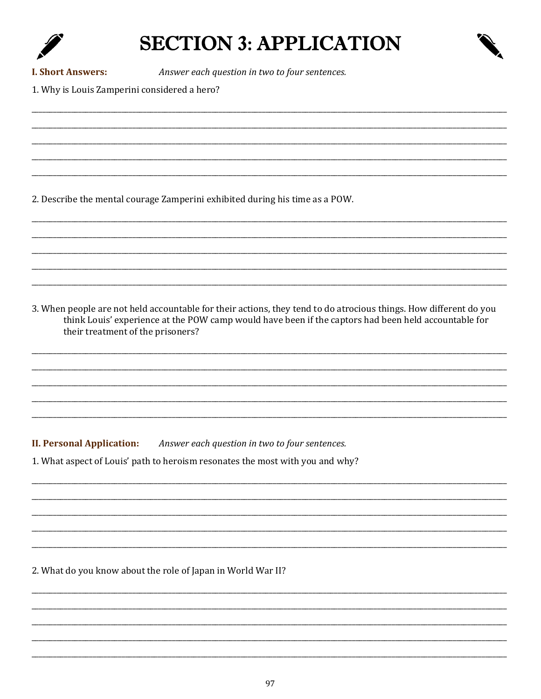# **SECTION 3: APPLICATION**



**I. Short Answers:** 

Answer each question in two to four sentences.

1. Why is Louis Zamperini considered a hero?

2. Describe the mental courage Zamperini exhibited during his time as a POW.

3. When people are not held accountable for their actions, they tend to do atrocious things. How different do you think Louis' experience at the POW camp would have been if the captors had been held accountable for their treatment of the prisoners?

**II. Personal Application:** Answer each question in two to four sentences.

1. What aspect of Louis' path to heroism resonates the most with you and why?

2. What do you know about the role of Japan in World War II?